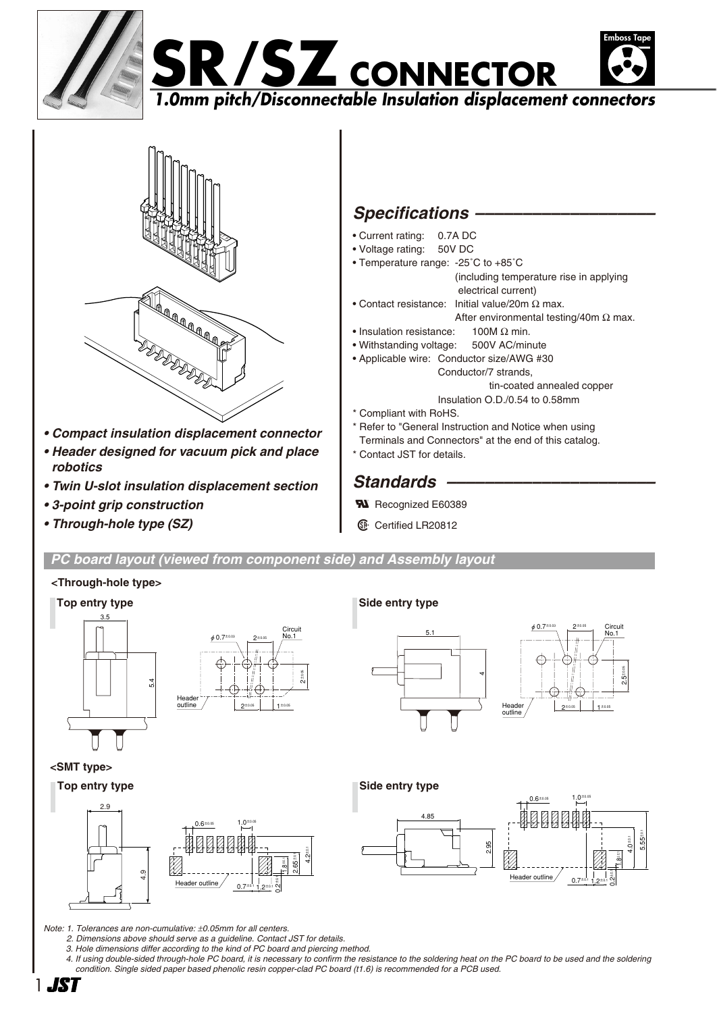





- *Compact insulation displacement connector*
- *Header designed for vacuum pick and place robotics*
- *Twin U-slot insulation displacement section*
- *3-point grip construction*
- *Through-hole type (SZ)*

# **Specifications -**

- Current rating: 0.7A DC
- Voltage rating: 50V DC
- Temperature range: -25˚C to +85˚C
	- (including temperature rise in applying electrical current)
- Contact resistance: Initial value/20m  $\Omega$  max. After environmental testing/40m  $\Omega$  max.
- Insulation resistance:  $100M \Omega$  min.
- Withstanding voltage: 500V AC/minute
- Applicable wire: Conductor size/AWG #30 Conductor/7 strands,
	- tin-coated annealed copper
	- Insulation O.D./0.54 to 0.58mm
- \* Compliant with RoHS.
- \* Refer to "General Instruction and Notice when using Terminals and Connectors" at the end of this catalog.
- \* Contact JST for details.

# Standards –

- **N** Recognized E60389
- **1** Certified LR20812

*PC board layout (viewed from component side) and Assembly layout*

2±0.05

### **<Through-hole type>**

**<SMT type>**





م.<br>م

±0.05

**Top entry type Side entry type** 





*Note: 1. Tolerances are non-cumulative:* ±*0.05mm for all centers.*

- *2. Dimensions above should serve as a guideline. Contact JST for details.*
- *3. Hole dimensions differ according to the kind of PC board and piercing method.*
- *4. If using double-sided through-hole PC board, it is necessary to confirm the resistance to the soldering heat on the PC board to be used and the soldering condition. Single sided paper based phenolic resin copper-clad PC board (t1.6) is recommended for a PCB used.*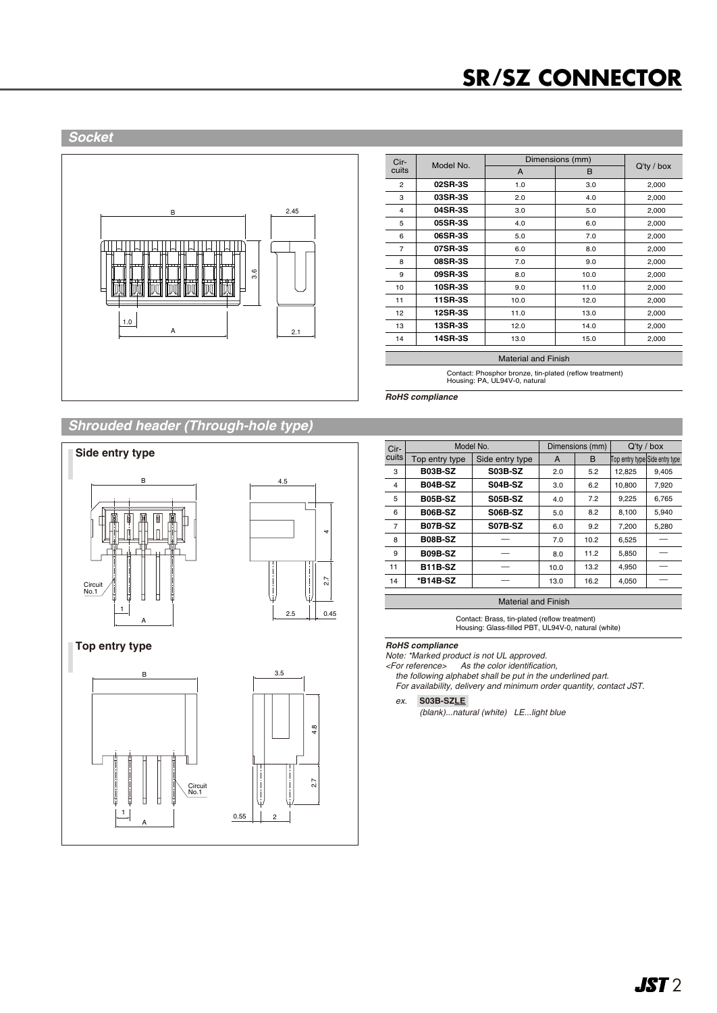# **SR/SZ CONNECTOR**

#### *Socket*



| Cir-<br>cuits  | Model No.      | Dimensions (mm) |      |               |
|----------------|----------------|-----------------|------|---------------|
|                |                | A               | B    | $Q'$ ty / box |
| $\overline{2}$ | 02SR-3S        | 1.0             | 3.0  | 2,000         |
| 3              | 03SR-3S        | 2.0             | 4.0  | 2,000         |
| 4              | 04SR-3S        | 3.0             | 5.0  | 2,000         |
| 5              | <b>05SR-3S</b> | 4.0             | 6.0  | 2,000         |
| 6              | 06SR-3S        | 5.0             | 7.0  | 2,000         |
| $\overline{7}$ | 07SR-3S        | 6.0             | 8.0  | 2,000         |
| 8              | <b>08SR-3S</b> | 7.0             | 9.0  | 2,000         |
| 9              | 09SR-3S        | 8.0             | 10.0 | 2,000         |
| 10             | <b>10SR-3S</b> | 9.0             | 11.0 | 2,000         |
| 11             | 11SR-3S        | 10.0            | 12.0 | 2,000         |
| 12             | <b>12SR-3S</b> | 11.0            | 13.0 | 2,000         |
| 13             | <b>13SR-3S</b> | 12.0            | 14.0 | 2,000         |
| 14             | <b>14SR-3S</b> | 13.0            | 15.0 | 2,000         |
|                |                |                 |      |               |

Material and Finish

Contact: Phosphor bronze, tin-plated (reflow treatment) Housing: PA, UL94V-0, natural

*RoHS compliance*

# *Shrouded header (Through-hole type)*







| Cir-                       | Model No.      |                 | Dimensions (mm) |      | $Q'$ ty / box                  |       |  |
|----------------------------|----------------|-----------------|-----------------|------|--------------------------------|-------|--|
| cuits                      | Top entry type | Side entry type | A               | B    | Top entry type Side entry type |       |  |
| 3                          | <b>B03B-SZ</b> | <b>S03B-SZ</b>  | 2.0             | 5.2  | 12,825                         | 9,405 |  |
| 4                          | <b>B04B-SZ</b> | <b>S04B-SZ</b>  | 3.0             | 6.2  | 10.800                         | 7,920 |  |
| 5                          | <b>B05B-SZ</b> | <b>S05B-SZ</b>  | 4.0             | 7.2  | 9,225                          | 6,765 |  |
| 6                          | <b>B06B-SZ</b> | <b>S06B-SZ</b>  | 5.0             | 8.2  | 8,100                          | 5,940 |  |
| $\overline{7}$             | <b>B07B-SZ</b> | <b>S07B-SZ</b>  | 6.0             | 9.2  | 7.200                          | 5,280 |  |
| 8                          | <b>B08B-SZ</b> |                 | 7.0             | 10.2 | 6,525                          |       |  |
| 9                          | <b>B09B-SZ</b> |                 | 8.0             | 11.2 | 5.850                          |       |  |
| 11                         | <b>B11B-SZ</b> |                 | 10.0            | 13.2 | 4,950                          |       |  |
| 14                         | *B14B-SZ       |                 | 13.0            | 16.2 | 4.050                          |       |  |
|                            |                |                 |                 |      |                                |       |  |
| <b>Material and Finish</b> |                |                 |                 |      |                                |       |  |

Contact: Brass, tin-plated (reflow treatment) Housing: Glass-filled PBT, UL94V-0, natural (white)

*Note: \*Marked product is not UL approved.*

*<For reference> As the color identification,*

*the following alphabet shall be put in the underlined part. For availability, delivery and minimum order quantity, contact JST.*

*ex.* **S03B-SZLE-**

*(blank)...natural (white) LE...light blue*